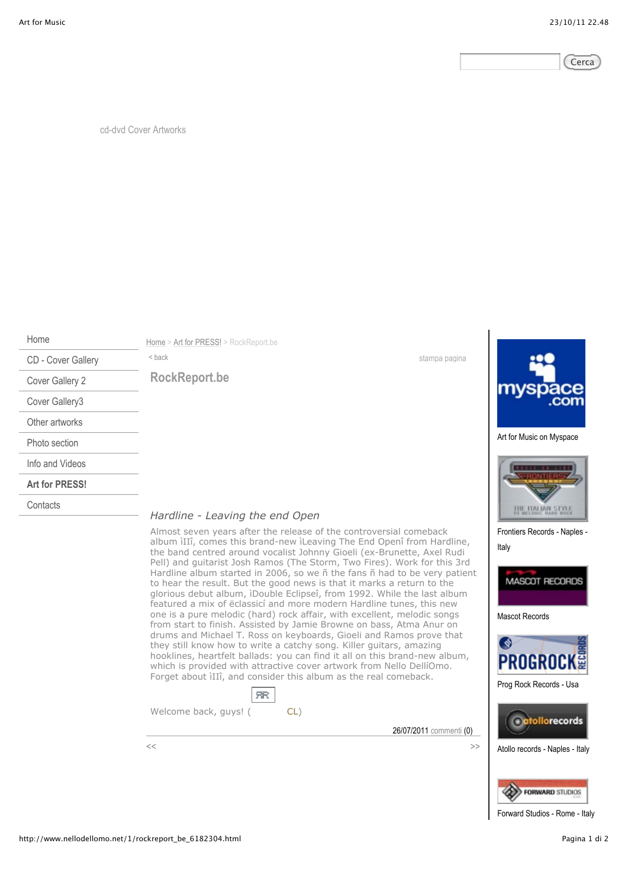

cd-dvd Cover Artworks

Home

**Contacts** 

CD - Cover Gallery Cover Gallery 2 Cover Gallery3 Other artworks Photo section Info and Videos **Art for PRESS!**

Home > Art for PRESS! > RockReport.be

*Hardline - Leaving the end Open*

**SR** 

Almost seven years after the release of the controversial comeback album ìIIî, comes this brand-new ìLeaving The End Openî from Hardline, the band centred around vocalist Johnny Gioeli (ex-Brunette, Axel Rudi Pell) and guitarist Josh Ramos (The Storm, Two Fires). Work for this 3rd Hardline album started in 2006, so we ñ the fans ñ had to be very patient to hear the result. But the good news is that it marks a return to the glorious debut album, ìDouble Eclipseî, from 1992. While the last album featured a mix of ëclassicí and more modern Hardline tunes, this new one is a pure melodic (hard) rock affair, with excellent, melodic songs from start to finish. Assisted by Jamie Browne on bass, Atma Anur on drums and Michael T. Ross on keyboards, Gioeli and Ramos prove that they still know how to write a catchy song. Killer guitars, amazing hooklines, heartfelt ballads: you can find it all on this brand-new album, which is provided with attractive cover artwork from Nello DellíOmo. Forget about ìIIî, and consider this album as the real comeback.

<br/>back stampa pagina

**RockReport.be**

26/07/2011 commenti (0)



Art for Music on Myspace



Frontiers Records - Naples - Italy



Mascot Records



Prog Rock Records - Usa



Atollo records - Naples - Italy



Forward Studios - Rome - Italy

Welcome back, guys! (CL)

 $\langle\langle$